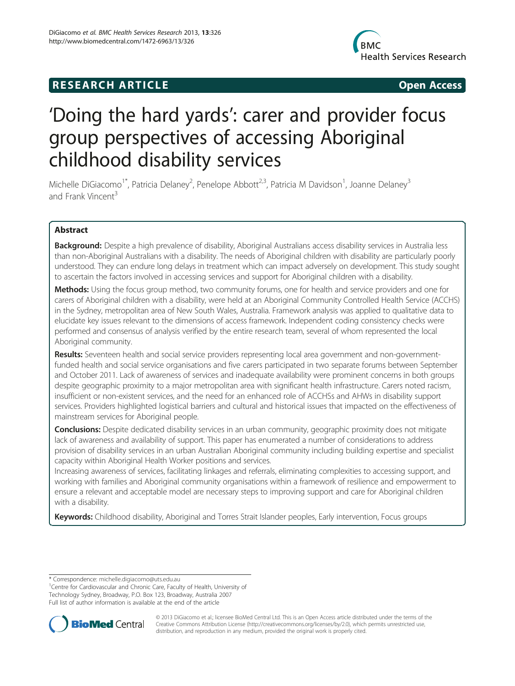# **RESEARCH ARTICLE Example 2014 12:30 The SEAR CHA RESEARCH ARTICLE**



# 'Doing the hard yards': carer and provider focus group perspectives of accessing Aboriginal childhood disability services

Michelle DiGiacomo<sup>1\*</sup>, Patricia Delaney<sup>2</sup>, Penelope Abbott<sup>2,3</sup>, Patricia M Davidson<sup>1</sup>, Joanne Delaney<sup>3</sup> and Frank Vincent<sup>3</sup>

# Abstract

Background: Despite a high prevalence of disability, Aboriginal Australians access disability services in Australia less than non-Aboriginal Australians with a disability. The needs of Aboriginal children with disability are particularly poorly understood. They can endure long delays in treatment which can impact adversely on development. This study sought to ascertain the factors involved in accessing services and support for Aboriginal children with a disability.

Methods: Using the focus group method, two community forums, one for health and service providers and one for carers of Aboriginal children with a disability, were held at an Aboriginal Community Controlled Health Service (ACCHS) in the Sydney, metropolitan area of New South Wales, Australia. Framework analysis was applied to qualitative data to elucidate key issues relevant to the dimensions of access framework. Independent coding consistency checks were performed and consensus of analysis verified by the entire research team, several of whom represented the local Aboriginal community.

Results: Seventeen health and social service providers representing local area government and non-governmentfunded health and social service organisations and five carers participated in two separate forums between September and October 2011. Lack of awareness of services and inadequate availability were prominent concerns in both groups despite geographic proximity to a major metropolitan area with significant health infrastructure. Carers noted racism, insufficient or non-existent services, and the need for an enhanced role of ACCHSs and AHWs in disability support services. Providers highlighted logistical barriers and cultural and historical issues that impacted on the effectiveness of mainstream services for Aboriginal people.

**Conclusions:** Despite dedicated disability services in an urban community, geographic proximity does not mitigate lack of awareness and availability of support. This paper has enumerated a number of considerations to address provision of disability services in an urban Australian Aboriginal community including building expertise and specialist capacity within Aboriginal Health Worker positions and services.

Increasing awareness of services, facilitating linkages and referrals, eliminating complexities to accessing support, and working with families and Aboriginal community organisations within a framework of resilience and empowerment to ensure a relevant and acceptable model are necessary steps to improving support and care for Aboriginal children with a disability.

Keywords: Childhood disability, Aboriginal and Torres Strait Islander peoples, Early intervention, Focus groups

\* Correspondence: [michelle.digiacomo@uts.edu.au](mailto:michelle.digiacomo@uts.edu.au) <sup>1</sup>

<sup>1</sup> Centre for Cardiovascular and Chronic Care, Faculty of Health, University of Technology Sydney, Broadway, P.O. Box 123, Broadway, Australia 2007 Full list of author information is available at the end of the article



© 2013 DiGiacomo et al.; licensee BioMed Central Ltd. This is an Open Access article distributed under the terms of the Creative Commons Attribution License (<http://creativecommons.org/licenses/by/2.0>), which permits unrestricted use, distribution, and reproduction in any medium, provided the original work is properly cited.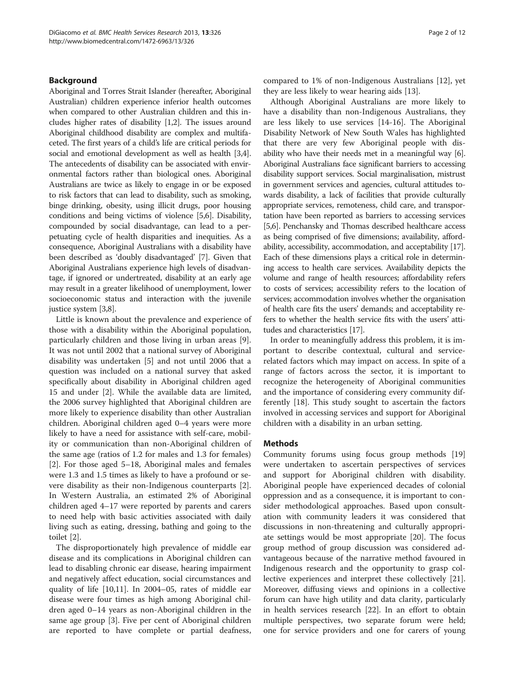## Background

Aboriginal and Torres Strait Islander (hereafter, Aboriginal Australian) children experience inferior health outcomes when compared to other Australian children and this includes higher rates of disability [\[1,2](#page-10-0)]. The issues around Aboriginal childhood disability are complex and multifaceted. The first years of a child's life are critical periods for social and emotional development as well as health [[3,4](#page-10-0)]. The antecedents of disability can be associated with environmental factors rather than biological ones. Aboriginal Australians are twice as likely to engage in or be exposed to risk factors that can lead to disability, such as smoking, binge drinking, obesity, using illicit drugs, poor housing conditions and being victims of violence [\[5,6](#page-10-0)]. Disability, compounded by social disadvantage, can lead to a perpetuating cycle of health disparities and inequities. As a consequence, Aboriginal Australians with a disability have been described as 'doubly disadvantaged' [[7\]](#page-10-0). Given that Aboriginal Australians experience high levels of disadvantage, if ignored or undertreated, disability at an early age may result in a greater likelihood of unemployment, lower socioeconomic status and interaction with the juvenile justice system [[3,8](#page-10-0)].

Little is known about the prevalence and experience of those with a disability within the Aboriginal population, particularly children and those living in urban areas [\[9](#page-10-0)]. It was not until 2002 that a national survey of Aboriginal disability was undertaken [[5\]](#page-10-0) and not until 2006 that a question was included on a national survey that asked specifically about disability in Aboriginal children aged 15 and under [[2\]](#page-10-0). While the available data are limited, the 2006 survey highlighted that Aboriginal children are more likely to experience disability than other Australian children. Aboriginal children aged 0–4 years were more likely to have a need for assistance with self-care, mobility or communication than non-Aboriginal children of the same age (ratios of 1.2 for males and 1.3 for females) [[2\]](#page-10-0). For those aged 5–18, Aboriginal males and females were 1.3 and 1.5 times as likely to have a profound or severe disability as their non-Indigenous counterparts [\[2](#page-10-0)]. In Western Australia, an estimated 2% of Aboriginal children aged 4–17 were reported by parents and carers to need help with basic activities associated with daily living such as eating, dressing, bathing and going to the toilet [[2\]](#page-10-0).

The disproportionately high prevalence of middle ear disease and its complications in Aboriginal children can lead to disabling chronic ear disease, hearing impairment and negatively affect education, social circumstances and quality of life [[10](#page-10-0),[11](#page-10-0)]. In 2004–05, rates of middle ear disease were four times as high among Aboriginal children aged 0–14 years as non-Aboriginal children in the same age group [\[3](#page-10-0)]. Five per cent of Aboriginal children are reported to have complete or partial deafness, compared to 1% of non-Indigenous Australians [\[12\]](#page-10-0), yet they are less likely to wear hearing aids [\[13\]](#page-10-0).

Although Aboriginal Australians are more likely to have a disability than non-Indigenous Australians, they are less likely to use services [[14-16\]](#page-11-0). The Aboriginal Disability Network of New South Wales has highlighted that there are very few Aboriginal people with disability who have their needs met in a meaningful way [[6](#page-10-0)]. Aboriginal Australians face significant barriers to accessing disability support services. Social marginalisation, mistrust in government services and agencies, cultural attitudes towards disability, a lack of facilities that provide culturally appropriate services, remoteness, child care, and transportation have been reported as barriers to accessing services [[5,6](#page-10-0)]. Penchansky and Thomas described healthcare access as being comprised of five dimensions; availability, affordability, accessibility, accommodation, and acceptability [[17](#page-11-0)]. Each of these dimensions plays a critical role in determining access to health care services. Availability depicts the volume and range of health resources; affordability refers to costs of services; accessibility refers to the location of services; accommodation involves whether the organisation of health care fits the users' demands; and acceptability refers to whether the health service fits with the users' attitudes and characteristics [\[17\]](#page-11-0).

In order to meaningfully address this problem, it is important to describe contextual, cultural and servicerelated factors which may impact on access. In spite of a range of factors across the sector, it is important to recognize the heterogeneity of Aboriginal communities and the importance of considering every community differently [[18\]](#page-11-0). This study sought to ascertain the factors involved in accessing services and support for Aboriginal children with a disability in an urban setting.

### Methods

Community forums using focus group methods [[19](#page-11-0)] were undertaken to ascertain perspectives of services and support for Aboriginal children with disability. Aboriginal people have experienced decades of colonial oppression and as a consequence, it is important to consider methodological approaches. Based upon consultation with community leaders it was considered that discussions in non-threatening and culturally appropriate settings would be most appropriate [[20](#page-11-0)]. The focus group method of group discussion was considered advantageous because of the narrative method favoured in Indigenous research and the opportunity to grasp collective experiences and interpret these collectively [\[21](#page-11-0)]. Moreover, diffusing views and opinions in a collective forum can have high utility and data clarity, particularly in health services research [\[22](#page-11-0)]. In an effort to obtain multiple perspectives, two separate forum were held; one for service providers and one for carers of young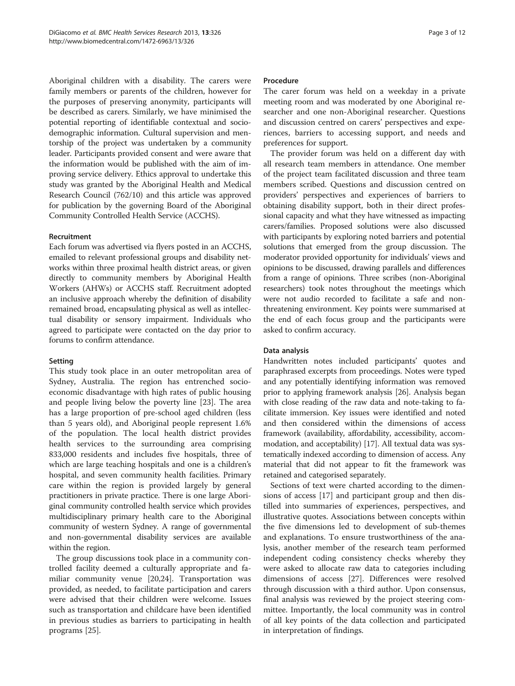Aboriginal children with a disability. The carers were family members or parents of the children, however for the purposes of preserving anonymity, participants will be described as carers. Similarly, we have minimised the potential reporting of identifiable contextual and sociodemographic information. Cultural supervision and mentorship of the project was undertaken by a community leader. Participants provided consent and were aware that the information would be published with the aim of improving service delivery. Ethics approval to undertake this study was granted by the Aboriginal Health and Medical Research Council (762/10) and this article was approved for publication by the governing Board of the Aboriginal Community Controlled Health Service (ACCHS).

## Recruitment

Each forum was advertised via flyers posted in an ACCHS, emailed to relevant professional groups and disability networks within three proximal health district areas, or given directly to community members by Aboriginal Health Workers (AHWs) or ACCHS staff. Recruitment adopted an inclusive approach whereby the definition of disability remained broad, encapsulating physical as well as intellectual disability or sensory impairment. Individuals who agreed to participate were contacted on the day prior to forums to confirm attendance.

#### Setting

This study took place in an outer metropolitan area of Sydney, Australia. The region has entrenched socioeconomic disadvantage with high rates of public housing and people living below the poverty line [\[23](#page-11-0)]. The area has a large proportion of pre-school aged children (less than 5 years old), and Aboriginal people represent 1.6% of the population. The local health district provides health services to the surrounding area comprising 833,000 residents and includes five hospitals, three of which are large teaching hospitals and one is a children's hospital, and seven community health facilities. Primary care within the region is provided largely by general practitioners in private practice. There is one large Aboriginal community controlled health service which provides multidisciplinary primary health care to the Aboriginal community of western Sydney. A range of governmental and non-governmental disability services are available within the region.

The group discussions took place in a community controlled facility deemed a culturally appropriate and familiar community venue [[20,24\]](#page-11-0). Transportation was provided, as needed, to facilitate participation and carers were advised that their children were welcome. Issues such as transportation and childcare have been identified in previous studies as barriers to participating in health programs [[25](#page-11-0)].

#### **Procedure**

The carer forum was held on a weekday in a private meeting room and was moderated by one Aboriginal researcher and one non-Aboriginal researcher. Questions and discussion centred on carers' perspectives and experiences, barriers to accessing support, and needs and preferences for support.

The provider forum was held on a different day with all research team members in attendance. One member of the project team facilitated discussion and three team members scribed. Questions and discussion centred on providers' perspectives and experiences of barriers to obtaining disability support, both in their direct professional capacity and what they have witnessed as impacting carers/families. Proposed solutions were also discussed with participants by exploring noted barriers and potential solutions that emerged from the group discussion. The moderator provided opportunity for individuals' views and opinions to be discussed, drawing parallels and differences from a range of opinions. Three scribes (non-Aboriginal researchers) took notes throughout the meetings which were not audio recorded to facilitate a safe and nonthreatening environment. Key points were summarised at the end of each focus group and the participants were asked to confirm accuracy.

#### Data analysis

Handwritten notes included participants' quotes and paraphrased excerpts from proceedings. Notes were typed and any potentially identifying information was removed prior to applying framework analysis [\[26\]](#page-11-0). Analysis began with close reading of the raw data and note-taking to facilitate immersion. Key issues were identified and noted and then considered within the dimensions of access framework (availability, affordability, accessibility, accommodation, and acceptability) [\[17\]](#page-11-0). All textual data was systematically indexed according to dimension of access. Any material that did not appear to fit the framework was retained and categorised separately.

Sections of text were charted according to the dimensions of access [\[17](#page-11-0)] and participant group and then distilled into summaries of experiences, perspectives, and illustrative quotes. Associations between concepts within the five dimensions led to development of sub-themes and explanations. To ensure trustworthiness of the analysis, another member of the research team performed independent coding consistency checks whereby they were asked to allocate raw data to categories including dimensions of access [\[27\]](#page-11-0). Differences were resolved through discussion with a third author. Upon consensus, final analysis was reviewed by the project steering committee. Importantly, the local community was in control of all key points of the data collection and participated in interpretation of findings.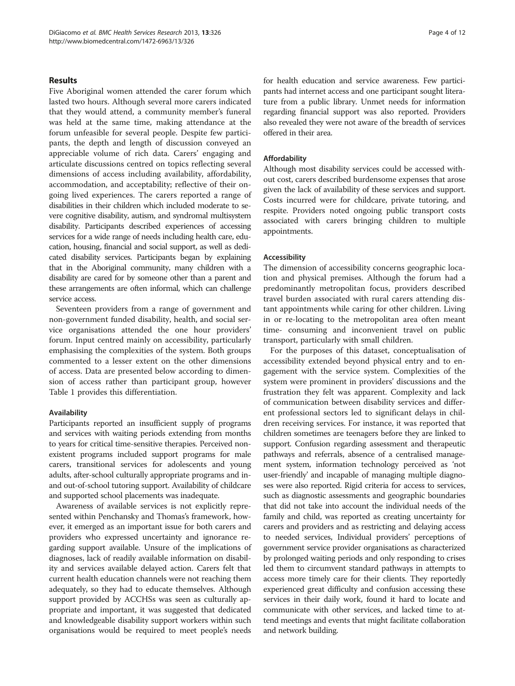### Results

Five Aboriginal women attended the carer forum which lasted two hours. Although several more carers indicated that they would attend, a community member's funeral was held at the same time, making attendance at the forum unfeasible for several people. Despite few participants, the depth and length of discussion conveyed an appreciable volume of rich data. Carers' engaging and articulate discussions centred on topics reflecting several dimensions of access including availability, affordability, accommodation, and acceptability; reflective of their ongoing lived experiences. The carers reported a range of disabilities in their children which included moderate to severe cognitive disability, autism, and syndromal multisystem disability. Participants described experiences of accessing services for a wide range of needs including health care, education, housing, financial and social support, as well as dedicated disability services. Participants began by explaining that in the Aboriginal community, many children with a disability are cared for by someone other than a parent and these arrangements are often informal, which can challenge service access.

Seventeen providers from a range of government and non-government funded disability, health, and social service organisations attended the one hour providers' forum. Input centred mainly on accessibility, particularly emphasising the complexities of the system. Both groups commented to a lesser extent on the other dimensions of access. Data are presented below according to dimension of access rather than participant group, however Table [1](#page-4-0) provides this differentiation.

#### Availability

Participants reported an insufficient supply of programs and services with waiting periods extending from months to years for critical time-sensitive therapies. Perceived nonexistent programs included support programs for male carers, transitional services for adolescents and young adults, after-school culturally appropriate programs and inand out-of-school tutoring support. Availability of childcare and supported school placements was inadequate.

Awareness of available services is not explicitly represented within Penchansky and Thomas's framework, however, it emerged as an important issue for both carers and providers who expressed uncertainty and ignorance regarding support available. Unsure of the implications of diagnoses, lack of readily available information on disability and services available delayed action. Carers felt that current health education channels were not reaching them adequately, so they had to educate themselves. Although support provided by ACCHSs was seen as culturally appropriate and important, it was suggested that dedicated and knowledgeable disability support workers within such organisations would be required to meet people's needs

for health education and service awareness. Few participants had internet access and one participant sought literature from a public library. Unmet needs for information regarding financial support was also reported. Providers also revealed they were not aware of the breadth of services offered in their area.

## Affordability

Although most disability services could be accessed without cost, carers described burdensome expenses that arose given the lack of availability of these services and support. Costs incurred were for childcare, private tutoring, and respite. Providers noted ongoing public transport costs associated with carers bringing children to multiple appointments.

#### Accessibility

The dimension of accessibility concerns geographic location and physical premises. Although the forum had a predominantly metropolitan focus, providers described travel burden associated with rural carers attending distant appointments while caring for other children. Living in or re-locating to the metropolitan area often meant time- consuming and inconvenient travel on public transport, particularly with small children.

For the purposes of this dataset, conceptualisation of accessibility extended beyond physical entry and to engagement with the service system. Complexities of the system were prominent in providers' discussions and the frustration they felt was apparent. Complexity and lack of communication between disability services and different professional sectors led to significant delays in children receiving services. For instance, it was reported that children sometimes are teenagers before they are linked to support. Confusion regarding assessment and therapeutic pathways and referrals, absence of a centralised management system, information technology perceived as 'not user-friendly' and incapable of managing multiple diagnoses were also reported. Rigid criteria for access to services, such as diagnostic assessments and geographic boundaries that did not take into account the individual needs of the family and child, was reported as creating uncertainty for carers and providers and as restricting and delaying access to needed services, Individual providers' perceptions of government service provider organisations as characterized by prolonged waiting periods and only responding to crises led them to circumvent standard pathways in attempts to access more timely care for their clients. They reportedly experienced great difficulty and confusion accessing these services in their daily work, found it hard to locate and communicate with other services, and lacked time to attend meetings and events that might facilitate collaboration and network building.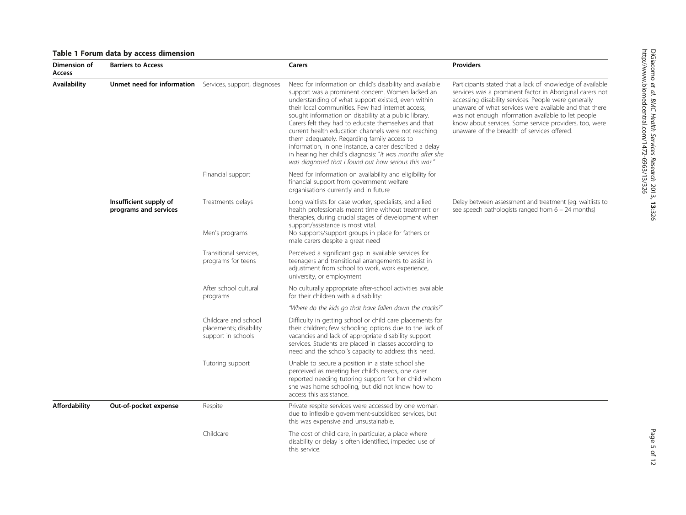# <span id="page-4-0"></span>Table 1 Forum data by access dimension

| Dimension of<br>Access | <b>Barriers to Access</b>                       |                                                                      | Carers                                                                                                                                                                                                                                                                                                                                                                                                                                                                                                                                                                                                                          | <b>Providers</b>                                                                                                                                                                                                                                                                                                                                                                                       |
|------------------------|-------------------------------------------------|----------------------------------------------------------------------|---------------------------------------------------------------------------------------------------------------------------------------------------------------------------------------------------------------------------------------------------------------------------------------------------------------------------------------------------------------------------------------------------------------------------------------------------------------------------------------------------------------------------------------------------------------------------------------------------------------------------------|--------------------------------------------------------------------------------------------------------------------------------------------------------------------------------------------------------------------------------------------------------------------------------------------------------------------------------------------------------------------------------------------------------|
| Availability           | Unmet need for information                      | Services, support, diagnoses                                         | Need for information on child's disability and available<br>support was a prominent concern. Women lacked an<br>understanding of what support existed, even within<br>their local communities. Few had internet access,<br>sought information on disability at a public library.<br>Carers felt they had to educate themselves and that<br>current health education channels were not reaching<br>them adequately. Regarding family access to<br>information, in one instance, a carer described a delay<br>in hearing her child's diagnosis: "It was months after she<br>was diagnosed that I found out how serious this was." | Participants stated that a lack of knowledge of available<br>services was a prominent factor in Aboriginal carers not<br>accessing disability services. People were generally<br>unaware of what services were available and that there<br>was not enough information available to let people<br>know about services. Some service providers, too, were<br>unaware of the breadth of services offered. |
|                        |                                                 | Financial support                                                    | Need for information on availability and eligibility for<br>financial support from government welfare<br>organisations currently and in future                                                                                                                                                                                                                                                                                                                                                                                                                                                                                  |                                                                                                                                                                                                                                                                                                                                                                                                        |
|                        | Insufficient supply of<br>programs and services | Treatments delays<br>Men's programs                                  | Long waitlists for case worker, specialists, and allied<br>health professionals meant time without treatment or<br>therapies, during crucial stages of development when<br>support/assistance is most vital.<br>No supports/support groups in place for fathers or<br>male carers despite a great need                                                                                                                                                                                                                                                                                                                          | Delay between assessment and treatment (eg. waitlists to<br>see speech pathologists ranged from $6 - 24$ months)                                                                                                                                                                                                                                                                                       |
|                        |                                                 | Transitional services.<br>programs for teens                         | Perceived a significant gap in available services for<br>teenagers and transitional arrangements to assist in<br>adjustment from school to work, work experience,<br>university, or employment                                                                                                                                                                                                                                                                                                                                                                                                                                  |                                                                                                                                                                                                                                                                                                                                                                                                        |
|                        |                                                 | After school cultural<br>programs                                    | No culturally appropriate after-school activities available<br>for their children with a disability:                                                                                                                                                                                                                                                                                                                                                                                                                                                                                                                            |                                                                                                                                                                                                                                                                                                                                                                                                        |
|                        |                                                 |                                                                      | "Where do the kids go that have fallen down the cracks?"                                                                                                                                                                                                                                                                                                                                                                                                                                                                                                                                                                        |                                                                                                                                                                                                                                                                                                                                                                                                        |
|                        |                                                 | Childcare and school<br>placements; disability<br>support in schools | Difficulty in getting school or child care placements for<br>their children; few schooling options due to the lack of<br>vacancies and lack of appropriate disability support<br>services. Students are placed in classes according to<br>need and the school's capacity to address this need.                                                                                                                                                                                                                                                                                                                                  |                                                                                                                                                                                                                                                                                                                                                                                                        |
|                        |                                                 | Tutoring support                                                     | Unable to secure a position in a state school she<br>perceived as meeting her child's needs, one carer<br>reported needing tutoring support for her child whom<br>she was home schooling, but did not know how to<br>access this assistance.                                                                                                                                                                                                                                                                                                                                                                                    |                                                                                                                                                                                                                                                                                                                                                                                                        |
| <b>Affordability</b>   | Out-of-pocket expense                           | Respite                                                              | Private respite services were accessed by one woman<br>due to inflexible government-subsidised services, but<br>this was expensive and unsustainable.                                                                                                                                                                                                                                                                                                                                                                                                                                                                           |                                                                                                                                                                                                                                                                                                                                                                                                        |
|                        |                                                 | Childcare                                                            | The cost of child care, in particular, a place where<br>disability or delay is often identified, impeded use of<br>this service.                                                                                                                                                                                                                                                                                                                                                                                                                                                                                                |                                                                                                                                                                                                                                                                                                                                                                                                        |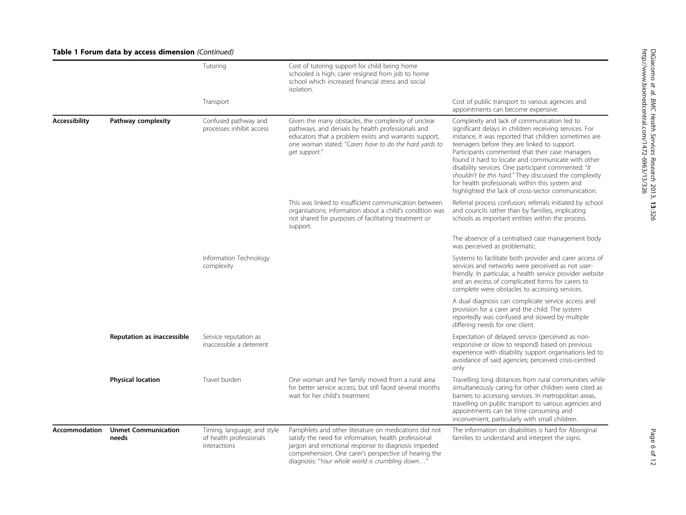|                      |                                     | Tutoring                                                               | Cost of tutoring support for child being home<br>schooled is high; carer resigned from job to home<br>school which increased financial stress and social<br>isolation.                                                                                                          |                                                                                                                                                                                                                                                                                                                                                                                                                                                                                                                                                    |
|----------------------|-------------------------------------|------------------------------------------------------------------------|---------------------------------------------------------------------------------------------------------------------------------------------------------------------------------------------------------------------------------------------------------------------------------|----------------------------------------------------------------------------------------------------------------------------------------------------------------------------------------------------------------------------------------------------------------------------------------------------------------------------------------------------------------------------------------------------------------------------------------------------------------------------------------------------------------------------------------------------|
|                      |                                     | Transport                                                              |                                                                                                                                                                                                                                                                                 | Cost of public transport to various agencies and<br>appointments can become expensive.                                                                                                                                                                                                                                                                                                                                                                                                                                                             |
| <b>Accessibility</b> | Pathway complexity                  | Confused pathway and<br>processes inhibit access                       | Given the many obstacles, the complexity of unclear<br>pathways, and denials by health professionals and<br>educators that a problem exists and warrants support,<br>one woman stated: "Carers have to do the hard yards to<br>get support."                                    | Complexity and lack of communication led to<br>significant delays in children receiving services. For<br>instance, it was reported that children sometimes are<br>teenagers before they are linked to support.<br>Participants commented that their case managers<br>found it hard to locate and communicate with other<br>disability services. One participant commented: "It<br>shouldn't be this hard." They discussed the complexity<br>for health professionals within this system and<br>highlighted the lack of cross-sector communication. |
|                      |                                     |                                                                        | This was linked to insufficient communication between<br>organisations; information about a child's condition was<br>not shared for purposes of facilitating treatment or<br>support.                                                                                           | Referral process confusion; referrals initiated by school<br>and councils rather than by families, implicating<br>schools as important entities within the process.                                                                                                                                                                                                                                                                                                                                                                                |
|                      |                                     |                                                                        |                                                                                                                                                                                                                                                                                 | The absence of a centralised case management body<br>was perceived as problematic.                                                                                                                                                                                                                                                                                                                                                                                                                                                                 |
|                      |                                     | Information Technology<br>complexity                                   |                                                                                                                                                                                                                                                                                 | Systems to facilitate both provider and carer access of<br>services and networks were perceived as not user-<br>friendly. In particular, a health service provider website<br>and an excess of complicated forms for carers to<br>complete were obstacles to accessing services.                                                                                                                                                                                                                                                                   |
|                      |                                     |                                                                        |                                                                                                                                                                                                                                                                                 | A dual diagnosis can complicate service access and<br>provision for a carer and the child. The system<br>reportedly was confused and slowed by multiple<br>differing needs for one client.                                                                                                                                                                                                                                                                                                                                                         |
|                      | Reputation as inaccessible          | Service reputation as<br>inaccessible a deterrent                      |                                                                                                                                                                                                                                                                                 | Expectation of delayed service (perceived as non-<br>responsive or slow to respond) based on previous<br>experience with disability support organisations led to<br>avoidance of said agencies; perceived crisis-centred<br>only                                                                                                                                                                                                                                                                                                                   |
|                      | <b>Physical location</b>            | Travel burden                                                          | One woman and her family moved from a rural area<br>for better service access, but still faced several months<br>wait for her child's treatment.                                                                                                                                | Travelling long distances from rural communities while<br>simultaneously caring for other children were cited as<br>barriers to accessing services. In metropolitan areas,<br>travelling on public transport to various agencies and<br>appointments can be time consuming and<br>inconvenient, particularly with small children.                                                                                                                                                                                                                  |
| <b>Accommodation</b> | <b>Unmet Communication</b><br>needs | Timing, language, and style<br>of health professionals<br>interactions | Pamphlets and other literature on medications did not<br>satisfy the need for information; health professional<br>jargon and emotional response to diagnosis impeded<br>comprehension. One carer's perspective of hearing the<br>diagnosis: "Your whole world is crumbling down | The information on disabilities is hard for Aboriginal<br>families to understand and interpret the signs.                                                                                                                                                                                                                                                                                                                                                                                                                                          |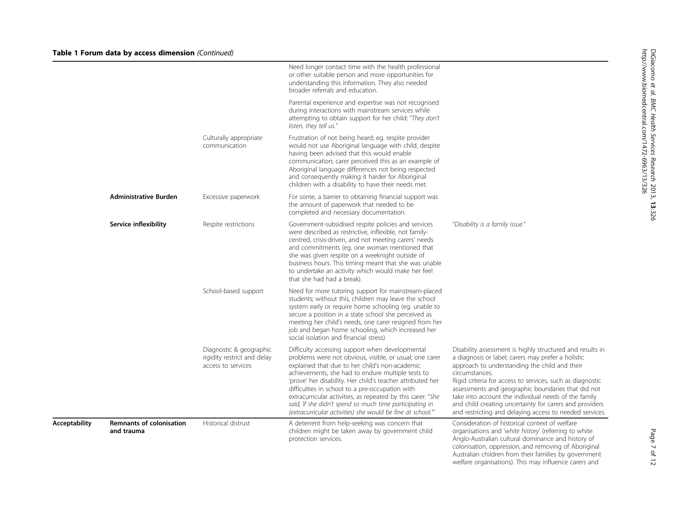| <b>Acceptability</b> | <b>Remnants of colonisation</b><br>and trauma | Historical distrust                                                          | A deterrent from help-seeking was concern that<br>children might be taken away by government child<br>protection services.                                                                                                                                                                                                                                                                                                                                                                                                   | Consideration of historical context of welfare<br>organisations and 'white history' (referring to white<br>Anglo-Australian cultural dominance and history of<br>colonisation, oppression, and removing of Aboriginal<br>Australian children from their families by government<br>welfare organisations). This may influence carers and                                                                                                                                             |
|----------------------|-----------------------------------------------|------------------------------------------------------------------------------|------------------------------------------------------------------------------------------------------------------------------------------------------------------------------------------------------------------------------------------------------------------------------------------------------------------------------------------------------------------------------------------------------------------------------------------------------------------------------------------------------------------------------|-------------------------------------------------------------------------------------------------------------------------------------------------------------------------------------------------------------------------------------------------------------------------------------------------------------------------------------------------------------------------------------------------------------------------------------------------------------------------------------|
|                      |                                               | Diagnostic & geographic<br>rigidity restrict and delay<br>access to services | Difficulty accessing support when developmental<br>problems were not obvious, visible, or usual; one carer<br>explained that due to her child's non-academic<br>achievements, she had to endure multiple tests to<br>'prove' her disability. Her child's teacher attributed her<br>difficulties in school to a pre-occupation with<br>extracurricular activities, as repeated by this carer: "She<br>said, 'if she didn't spend so much time participating in<br>(extracurricular activities) she would be fine at school."" | Disability assessment is highly structured and results in<br>a diagnosis or label; carers may prefer a holistic<br>approach to understanding the child and their<br>circumstances.<br>Rigid criteria for access to services, such as diagnostic<br>assessments and geographic boundaries that did not<br>take into account the individual needs of the family<br>and child creating uncertainty for carers and providers<br>and restricting and delaying access to needed services. |
|                      |                                               | School-based support                                                         | Need for more tutoring support for mainstream-placed<br>students; without this, children may leave the school<br>system early or require home schooling (eg. unable to<br>secure a position in a state school she perceived as<br>meeting her child's needs, one carer resigned from her<br>job and began home schooling, which increased her<br>social isolation and financial stress)                                                                                                                                      |                                                                                                                                                                                                                                                                                                                                                                                                                                                                                     |
|                      | Service inflexibility                         | Respite restrictions                                                         | Government-subsidised respite policies and services<br>were described as restrictive, inflexible, not family-<br>centred, crisis-driven, and not meeting carers' needs<br>and commitments (eq. one woman mentioned that<br>she was given respite on a weeknight outside of<br>business hours. This timing meant that she was unable<br>to undertake an activity which would make her feel<br>that she had had a break).                                                                                                      | "Disability is a family issue."                                                                                                                                                                                                                                                                                                                                                                                                                                                     |
|                      | <b>Administrative Burden</b>                  | Excessive paperwork                                                          | For some, a barrier to obtaining financial support was<br>the amount of paperwork that needed to be<br>completed and necessary documentation.                                                                                                                                                                                                                                                                                                                                                                                |                                                                                                                                                                                                                                                                                                                                                                                                                                                                                     |
|                      |                                               | Culturally appropriate<br>communication                                      | Frustration of not being heard; eg. respite provider<br>would not use Aboriginal language with child, despite<br>having been advised that this would enable<br>communication; carer perceived this as an example of<br>Aboriginal language differences not being respected<br>and consequently making it harder for Aboriginal<br>children with a disability to have their needs met.                                                                                                                                        |                                                                                                                                                                                                                                                                                                                                                                                                                                                                                     |
|                      |                                               |                                                                              | Parental experience and expertise was not recognised<br>during interactions with mainstream services while<br>attempting to obtain support for her child: "They don't<br>listen, they tell us."                                                                                                                                                                                                                                                                                                                              |                                                                                                                                                                                                                                                                                                                                                                                                                                                                                     |
|                      |                                               |                                                                              | Need longer contact time with the health professional<br>or other suitable person and more opportunities for<br>understanding this information. They also needed<br>broader referrals and education.                                                                                                                                                                                                                                                                                                                         |                                                                                                                                                                                                                                                                                                                                                                                                                                                                                     |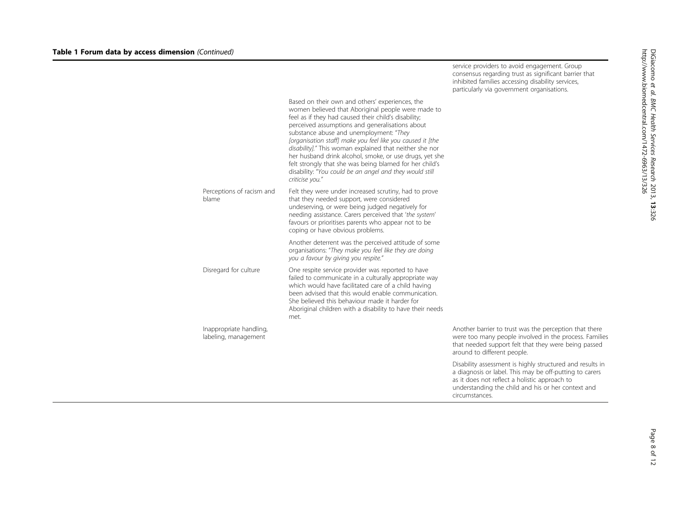|                                                 |                                                                                                                                                                                                                                                                                                                                                                                                                                                                                                                                                                                          | consensus regarding trust as significant barrier that<br>inhibited families accessing disability services,<br>particularly via government organisations.                                                                                      |
|-------------------------------------------------|------------------------------------------------------------------------------------------------------------------------------------------------------------------------------------------------------------------------------------------------------------------------------------------------------------------------------------------------------------------------------------------------------------------------------------------------------------------------------------------------------------------------------------------------------------------------------------------|-----------------------------------------------------------------------------------------------------------------------------------------------------------------------------------------------------------------------------------------------|
|                                                 | Based on their own and others' experiences, the<br>women believed that Aboriginal people were made to<br>feel as if they had caused their child's disability;<br>perceived assumptions and generalisations about<br>substance abuse and unemployment: "They<br>[organisation staff] make you feel like you caused it [the<br>disability]." This woman explained that neither she nor<br>her husband drink alcohol, smoke, or use drugs, yet she<br>felt strongly that she was being blamed for her child's<br>disability: "You could be an angel and they would still<br>criticise you." |                                                                                                                                                                                                                                               |
| Perceptions of racism and<br>blame              | Felt they were under increased scrutiny, had to prove<br>that they needed support, were considered<br>undeserving, or were being judged negatively for<br>needing assistance. Carers perceived that 'the system'<br>favours or prioritises parents who appear not to be<br>coping or have obvious problems.                                                                                                                                                                                                                                                                              |                                                                                                                                                                                                                                               |
|                                                 | Another deterrent was the perceived attitude of some<br>organisations: "They make you feel like they are doing<br>you a favour by giving you respite."                                                                                                                                                                                                                                                                                                                                                                                                                                   |                                                                                                                                                                                                                                               |
| Disregard for culture                           | One respite service provider was reported to have<br>failed to communicate in a culturally appropriate way<br>which would have facilitated care of a child having<br>been advised that this would enable communication.<br>She believed this behaviour made it harder for<br>Aboriginal children with a disability to have their needs<br>met.                                                                                                                                                                                                                                           |                                                                                                                                                                                                                                               |
| Inappropriate handling,<br>labeling, management |                                                                                                                                                                                                                                                                                                                                                                                                                                                                                                                                                                                          | Another barrier to trust was the perception that there<br>were too many people involved in the process. Families<br>that needed support felt that they were being passed<br>around to different people.                                       |
|                                                 |                                                                                                                                                                                                                                                                                                                                                                                                                                                                                                                                                                                          | Disability assessment is highly structured and results in<br>a diagnosis or label. This may be off-putting to carers<br>as it does not reflect a holistic approach to<br>understanding the child and his or her context and<br>circumstances. |

service providers to avoid engagement. Group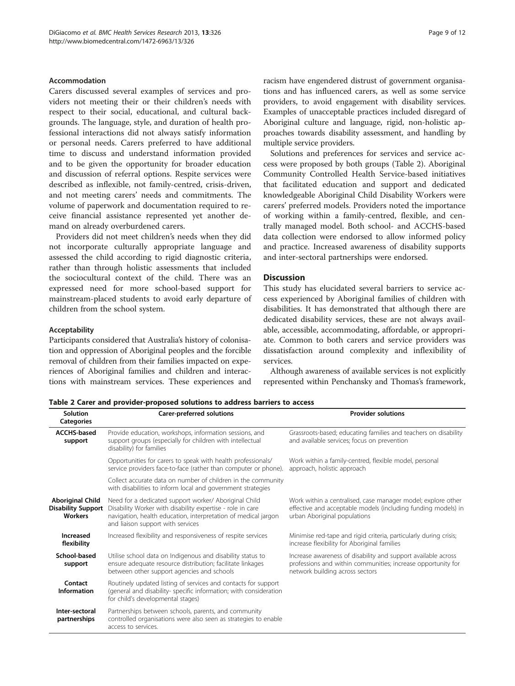#### Accommodation

Carers discussed several examples of services and providers not meeting their or their children's needs with respect to their social, educational, and cultural backgrounds. The language, style, and duration of health professional interactions did not always satisfy information or personal needs. Carers preferred to have additional time to discuss and understand information provided and to be given the opportunity for broader education and discussion of referral options. Respite services were described as inflexible, not family-centred, crisis-driven, and not meeting carers' needs and commitments. The volume of paperwork and documentation required to receive financial assistance represented yet another demand on already overburdened carers.

Providers did not meet children's needs when they did not incorporate culturally appropriate language and assessed the child according to rigid diagnostic criteria, rather than through holistic assessments that included the sociocultural context of the child. There was an expressed need for more school-based support for mainstream-placed students to avoid early departure of children from the school system.

#### Acceptability

Participants considered that Australia's history of colonisation and oppression of Aboriginal peoples and the forcible removal of children from their families impacted on experiences of Aboriginal families and children and interactions with mainstream services. These experiences and racism have engendered distrust of government organisations and has influenced carers, as well as some service providers, to avoid engagement with disability services. Examples of unacceptable practices included disregard of Aboriginal culture and language, rigid, non-holistic approaches towards disability assessment, and handling by multiple service providers.

Solutions and preferences for services and service access were proposed by both groups (Table 2). Aboriginal Community Controlled Health Service-based initiatives that facilitated education and support and dedicated knowledgeable Aboriginal Child Disability Workers were carers' preferred models. Providers noted the importance of working within a family-centred, flexible, and centrally managed model. Both school- and ACCHS-based data collection were endorsed to allow informed policy and practice. Increased awareness of disability supports and inter-sectoral partnerships were endorsed.

# Discussion

This study has elucidated several barriers to service access experienced by Aboriginal families of children with disabilities. It has demonstrated that although there are dedicated disability services, these are not always available, accessible, accommodating, affordable, or appropriate. Common to both carers and service providers was dissatisfaction around complexity and inflexibility of services.

Although awareness of available services is not explicitly represented within Penchansky and Thomas's framework,

Table 2 Carer and provider-proposed solutions to address barriers to access

| Solution<br><b>Categories</b>                                          | Carer-preferred solutions                                                                                                                                                                                                  | <b>Provider solutions</b>                                                                                                                                        |
|------------------------------------------------------------------------|----------------------------------------------------------------------------------------------------------------------------------------------------------------------------------------------------------------------------|------------------------------------------------------------------------------------------------------------------------------------------------------------------|
| <b>ACCHS-based</b><br>support                                          | Provide education, workshops, information sessions, and<br>support groups (especially for children with intellectual<br>disability) for families                                                                           | Grassroots-based; educating families and teachers on disability<br>and available services; focus on prevention                                                   |
|                                                                        | Opportunities for carers to speak with health professionals/<br>service providers face-to-face (rather than computer or phone).                                                                                            | Work within a family-centred, flexible model, personal<br>approach, holistic approach                                                                            |
|                                                                        | Collect accurate data on number of children in the community<br>with disabilities to inform local and government strategies                                                                                                |                                                                                                                                                                  |
| <b>Aboriginal Child</b><br><b>Disability Support</b><br><b>Workers</b> | Need for a dedicated support worker/ Aboriginal Child<br>Disability Worker with disability expertise - role in care<br>navigation, health education, interpretation of medical jargon<br>and liaison support with services | Work within a centralised, case manager model; explore other<br>effective and acceptable models (including funding models) in<br>urban Aboriginal populations    |
| Increased<br>flexibility                                               | Increased flexibility and responsiveness of respite services                                                                                                                                                               | Minimise red-tape and rigid criteria, particularly during crisis;<br>increase flexibility for Aboriginal families                                                |
| School-based<br>support                                                | Utilise school data on Indigenous and disability status to<br>ensure adequate resource distribution; facilitate linkages<br>between other support agencies and schools                                                     | Increase awareness of disability and support available across<br>professions and within communities; increase opportunity for<br>network building across sectors |
| Contact<br><b>Information</b>                                          | Routinely updated listing of services and contacts for support<br>(general and disability- specific information; with consideration<br>for child's developmental stages)                                                   |                                                                                                                                                                  |
| Inter-sectoral<br>partnerships                                         | Partnerships between schools, parents, and community<br>controlled organisations were also seen as strategies to enable<br>access to services.                                                                             |                                                                                                                                                                  |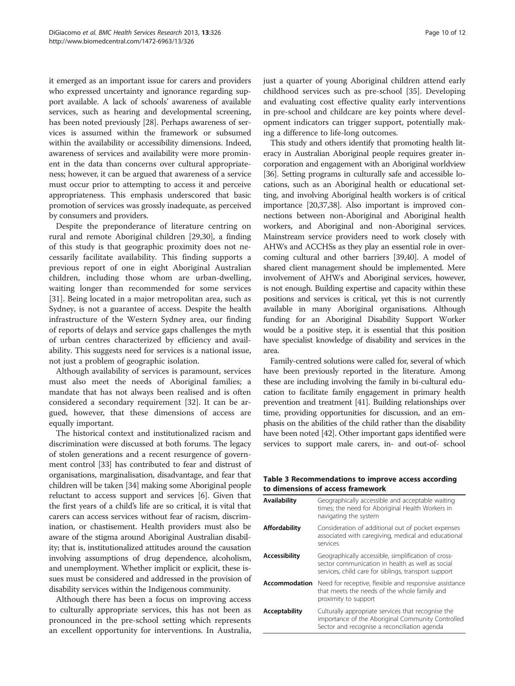<span id="page-9-0"></span>it emerged as an important issue for carers and providers who expressed uncertainty and ignorance regarding support available. A lack of schools' awareness of available services, such as hearing and developmental screening, has been noted previously [\[28\]](#page-11-0). Perhaps awareness of services is assumed within the framework or subsumed within the availability or accessibility dimensions. Indeed, awareness of services and availability were more prominent in the data than concerns over cultural appropriateness; however, it can be argued that awareness of a service must occur prior to attempting to access it and perceive appropriateness. This emphasis underscored that basic promotion of services was grossly inadequate, as perceived by consumers and providers.

Despite the preponderance of literature centring on rural and remote Aboriginal children [[29](#page-11-0),[30](#page-11-0)], a finding of this study is that geographic proximity does not necessarily facilitate availability. This finding supports a previous report of one in eight Aboriginal Australian children, including those whom are urban-dwelling, waiting longer than recommended for some services [[31\]](#page-11-0). Being located in a major metropolitan area, such as Sydney, is not a guarantee of access. Despite the health infrastructure of the Western Sydney area, our finding of reports of delays and service gaps challenges the myth of urban centres characterized by efficiency and availability. This suggests need for services is a national issue, not just a problem of geographic isolation.

Although availability of services is paramount, services must also meet the needs of Aboriginal families; a mandate that has not always been realised and is often considered a secondary requirement [[32\]](#page-11-0). It can be argued, however, that these dimensions of access are equally important.

The historical context and institutionalized racism and discrimination were discussed at both forums. The legacy of stolen generations and a recent resurgence of government control [[33](#page-11-0)] has contributed to fear and distrust of organisations, marginalisation, disadvantage, and fear that children will be taken [\[34\]](#page-11-0) making some Aboriginal people reluctant to access support and services [\[6\]](#page-10-0). Given that the first years of a child's life are so critical, it is vital that carers can access services without fear of racism, discrimination, or chastisement. Health providers must also be aware of the stigma around Aboriginal Australian disability; that is, institutionalized attitudes around the causation involving assumptions of drug dependence, alcoholism, and unemployment. Whether implicit or explicit, these issues must be considered and addressed in the provision of disability services within the Indigenous community.

Although there has been a focus on improving access to culturally appropriate services, this has not been as pronounced in the pre-school setting which represents an excellent opportunity for interventions. In Australia, just a quarter of young Aboriginal children attend early childhood services such as pre-school [[35\]](#page-11-0). Developing and evaluating cost effective quality early interventions in pre-school and childcare are key points where development indicators can trigger support, potentially making a difference to life-long outcomes.

This study and others identify that promoting health literacy in Australian Aboriginal people requires greater incorporation and engagement with an Aboriginal worldview [[36](#page-11-0)]. Setting programs in culturally safe and accessible locations, such as an Aboriginal health or educational setting, and involving Aboriginal health workers is of critical importance [[20,37,38](#page-11-0)]. Also important is improved connections between non-Aboriginal and Aboriginal health workers, and Aboriginal and non-Aboriginal services. Mainstream service providers need to work closely with AHWs and ACCHSs as they play an essential role in overcoming cultural and other barriers [\[39,40](#page-11-0)]. A model of shared client management should be implemented. Mere involvement of AHWs and Aboriginal services, however, is not enough. Building expertise and capacity within these positions and services is critical, yet this is not currently available in many Aboriginal organisations. Although funding for an Aboriginal Disability Support Worker would be a positive step, it is essential that this position have specialist knowledge of disability and services in the area.

Family-centred solutions were called for, several of which have been previously reported in the literature. Among these are including involving the family in bi-cultural education to facilitate family engagement in primary health prevention and treatment [[41](#page-11-0)]. Building relationships over time, providing opportunities for discussion, and an emphasis on the abilities of the child rather than the disability have been noted [[42](#page-11-0)]. Other important gaps identified were services to support male carers, in- and out-of- school

#### Table 3 Recommendations to improve access according to dimensions of access framework

| <b>Availability</b>  | Geographically accessible and acceptable waiting<br>times; the need for Aboriginal Health Workers in<br>navigating the system                                   |
|----------------------|-----------------------------------------------------------------------------------------------------------------------------------------------------------------|
| <b>Affordability</b> | Consideration of additional out of pocket expenses<br>associated with caregiving, medical and educational<br>services                                           |
| Accessibility        | Geographically accessible, simplification of cross-<br>sector communication in health as well as social<br>services, child care for siblings, transport support |
| Accommodation        | Need for receptive, flexible and responsive assistance<br>that meets the needs of the whole family and<br>proximity to support                                  |
| Acceptability        | Culturally appropriate services that recognise the<br>importance of the Aboriginal Community Controlled<br>Sector and recognise a reconciliation agenda         |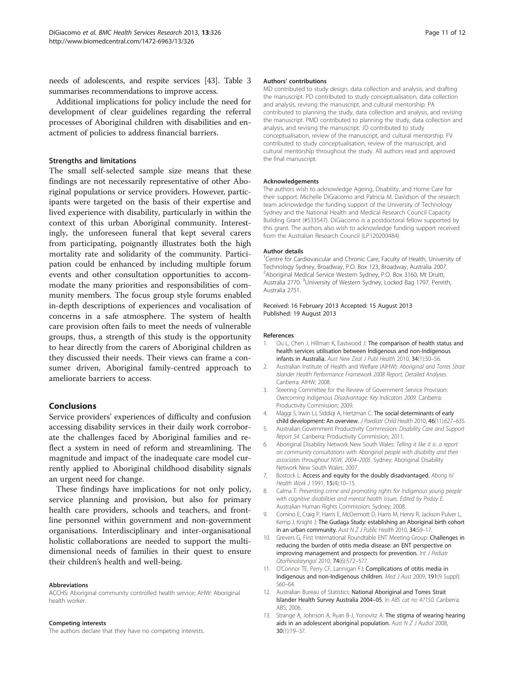<span id="page-10-0"></span>needs of adolescents, and respite services [\[43\]](#page-11-0). Table [3](#page-9-0) summarises recommendations to improve access.

Additional implications for policy include the need for development of clear guidelines regarding the referral processes of Aboriginal children with disabilities and enactment of policies to address financial barriers.

# Strengths and limitations

The small self-selected sample size means that these findings are not necessarily representative of other Aboriginal populations or service providers. However, participants were targeted on the basis of their expertise and lived experience with disability, particularly in within the context of this urban Aboriginal community. Interestingly, the unforeseen funeral that kept several carers from participating, poignantly illustrates both the high mortality rate and solidarity of the community. Participation could be enhanced by including multiple forum events and other consultation opportunities to accommodate the many priorities and responsibilities of community members. The focus group style forums enabled in-depth descriptions of experiences and vocalisation of concerns in a safe atmosphere. The system of health care provision often fails to meet the needs of vulnerable groups, thus, a strength of this study is the opportunity to hear directly from the carers of Aboriginal children as they discussed their needs. Their views can frame a consumer driven, Aboriginal family-centred approach to ameliorate barriers to access.

# Conclusions

Service providers' experiences of difficulty and confusion accessing disability services in their daily work corroborate the challenges faced by Aboriginal families and reflect a system in need of reform and streamlining. The magnitude and impact of the inadequate care model currently applied to Aboriginal childhood disability signals an urgent need for change.

These findings have implications for not only policy, service planning and provision, but also for primary health care providers, schools and teachers, and frontline personnel within government and non-government organisations. Interdisciplinary and inter-organisational holistic collaborations are needed to support the multidimensional needs of families in their quest to ensure their children's health and well-being.

#### Abbreviations

ACCHS: Aboriginal community controlled health service; AHW: Aboriginal health worker.

#### Competing interests

The authors declare that they have no competing interests.

#### Authors' contributions

MD contributed to study design, data collection and analysis, and drafting the manuscript. PD contributed to study conceptualisation, data collection and analysis, revising the manuscript, and cultural mentorship. PA contributed to planning the study, data collection and analysis, and revising the manuscript. PMD contributed to planning the study, data collection and analysis, and revising the manuscript. JD contributed to study conceptualisation, review of the manuscript, and cultural mentorship. FV contributed to study conceptualisation, review of the manuscript, and cultural mentorship throughout the study. All authors read and approved the final manuscript.

#### Acknowledgements

The authors wish to acknowledge Ageing, Disability, and Home Care for their support. Michelle DiGiacomo and Patricia M. Davidson of the research team acknowledge the funding support of the University of Technology Sydney and the National Health and Medical Research Council Capacity Building Grant (#533547). DiGiacomo is a postdoctoral fellow supported by this grant. The authors also wish to acknowledge funding support received from the Australian Research Council (LP120200484).

#### Author details

<sup>1</sup> Centre for Cardiovascular and Chronic Care, Faculty of Health, University of Technology Sydney, Broadway, P.O. Box 123, Broadway, Australia 2007. 2 Aboriginal Medical Service Western Sydney, P.O. Box 3160, Mt Druitt, Australia 2770. <sup>3</sup>University of Western Sydney, Locked Bag 1797, Penrith Australia 2751.

Received: 16 February 2013 Accepted: 15 August 2013 Published: 19 August 2013

#### References

- 1. Ou L, Chen J, Hillman K, Eastwood J: The comparison of health status and health services utilisation between Indigenous and non-Indigenous infants in Australia. Aust New Zeal J Publ Health 2010, 34(1):50–56.
- 2. Australian Institute of Health and Welfare (AIHW): Aboriginal and Torres Strait Islander Health Performance Framework 2008 Report, Detailed Analyses. Canberra: AIHW; 2008.
- 3. Steering Committee for the Review of Government Service Provision: Overcoming Indigenous Disadvantage: Key Indicators 2009. Canberra: Productivity Commission; 2009.
- 4. Maggi S, Irwin LJ, Siddiqi A, Hertzman C: The social determinants of early child development: An overview. J Paediatr Child Health 2010, 46(11):627–635.
- 5. Australian Government Productivity Commission: Disability Care and Support Report 54. Canberra: Productivity Commission; 2011.
- 6. Aboriginal Disability Network New South Wales: Telling it like it is: a report on community consultations with Aboriginal people with disability and their associates throughout NSW, 2004–2005. Sydney: Aboriginal Disability Network New South Wales; 2007.
- 7. Bostock L: Access and equity for the doubly disadvantaged. Aborig Isl Health Work J 1991, 15(4):10–15.
- 8. Calma T: Preventing crime and promoting rights for Indigenous young people with cognitive disabilities and mental health issues. Edited by Priday E. Australian Human Rights Commission: Sydney; 2008.
- 9. Comino E, Craig P, Harris E, McDermott D, Harris M, Henry R, Jackson Pulver L, Kemp J, Knight J: The Gudaga Study: establishing an Aboriginal birth cohort in an urban community. Aust N Z J Public Health 2010, 34:S9-17.
- 10. Grevers G, First International Roundtable ENT Meeting Group: Challenges in reducing the burden of otitis media disease: an ENT perspective on improving management and prospects for prevention. Int J Pediatr Otorhinolaryngol 2010, 74(6):572–577.
- 11. O'Connor TE, Perry CF, Lannigan FJ: Complications of otitis media in Indigenous and non-Indigenous children. Med J Aust 2009, 191(9 Suppl): S60–64.
- 12. Australian Bureau of Statistics: National Aboriginal and Torres Strait Islander Health Survey Australia 2004–05. In ABS cat no 47150. Canberra: ABS; 2006.
- 13. Strange A, Johnson A, Ryan B-J, Yonovitz A: The stigma of wearing hearing aids in an adolescent aboriginal population. Aust  $N Z J$  Audiol 2008, 30(1):19–37.